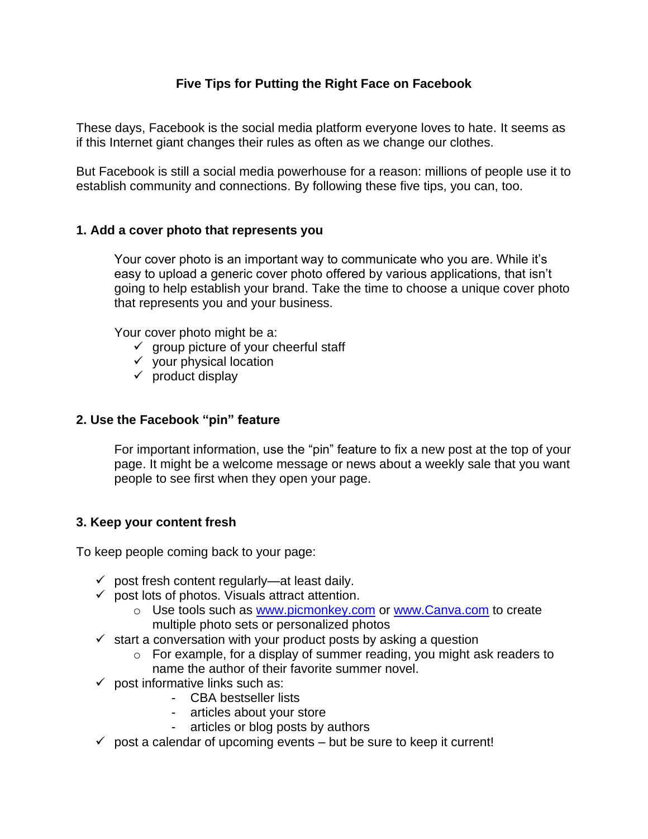# **Five Tips for Putting the Right Face on Facebook**

These days, Facebook is the social media platform everyone loves to hate. It seems as if this Internet giant changes their rules as often as we change our clothes.

But Facebook is still a social media powerhouse for a reason: millions of people use it to establish community and connections. By following these five tips, you can, too.

## **1. Add a cover photo that represents you**

Your cover photo is an important way to communicate who you are. While it's easy to upload a generic cover photo offered by various applications, that isn't going to help establish your brand. Take the time to choose a unique cover photo that represents you and your business.

Your cover photo might be a:

- $\checkmark$  group picture of your cheerful staff
- $\checkmark$  your physical location
- $\checkmark$  product display

### **2. Use the Facebook "pin" feature**

For important information, use the "pin" feature to fix a new post at the top of your page. It might be a welcome message or news about a weekly sale that you want people to see first when they open your page.

#### **3. Keep your content fresh**

To keep people coming back to your page:

- $\checkmark$  post fresh content regularly—at least daily.
- $\checkmark$  post lots of photos. Visuals attract attention.
	- o Use tools such as [www.picmonkey.com](http://www.picmonkey.com/) or [www.Canva.com](http://www.canva.com/) to create multiple photo sets or personalized photos
- $\checkmark$  start a conversation with your product posts by asking a question
	- o For example, for a display of summer reading, you might ask readers to name the author of their favorite summer novel.
- $\checkmark$  post informative links such as:
	- CBA bestseller lists
	- articles about your store
	- articles or blog posts by authors
- $\checkmark$  post a calendar of upcoming events but be sure to keep it current!